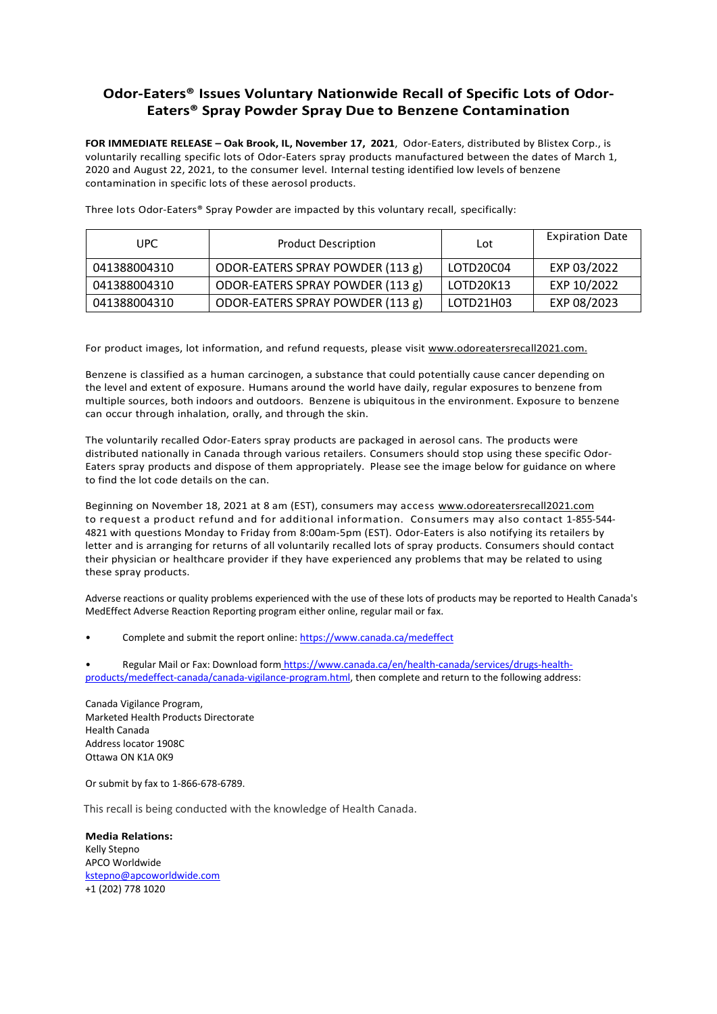## **Odor-Eaters® Issues Voluntary Nationwide Recall of Specific Lots of Odor-Eaters® Spray Powder Spray Due to Benzene Contamination**

**FOR IMMEDIATE RELEASE – Oak Brook, IL, November 17, 2021**, Odor-Eaters, distributed by Blistex Corp., is voluntarily recalling specific lots of Odor-Eaters spray products manufactured between the dates of March 1, 2020 and August 22, 2021, to the consumer level. Internal testing identified low levels of benzene contamination in specific lots of these aerosol products.

| UPC.         | <b>Product Description</b>       | Lot       | <b>Expiration Date</b> |
|--------------|----------------------------------|-----------|------------------------|
| 041388004310 | ODOR-EATERS SPRAY POWDER (113 g) | LOTD20C04 | EXP 03/2022            |
| 041388004310 | ODOR-EATERS SPRAY POWDER (113 g) | LOTD20K13 | EXP 10/2022            |
| 041388004310 | ODOR-EATERS SPRAY POWDER (113 g) | LOTD21H03 | EXP 08/2023            |

Three lots Odor-Eaters® Spray Powder are impacted by this voluntary recall, specifically:

For product images, lot information, and refund requests, please visit www.odoreatersrecall2021.com.

Benzene is classified as a human carcinogen, a substance that could potentially cause cancer depending on the level and extent of exposure. Humans around the world have daily, regular exposures to benzene from multiple sources, both indoors and outdoors. Benzene is ubiquitous in the environment. Exposure to benzene can occur through inhalation, orally, and through the skin.

The voluntarily recalled Odor-Eaters spray products are packaged in aerosol cans. The products were distributed nationally in Canada through various retailers. Consumers should stop using these specific Odor-Eaters spray products and dispose of them appropriately. Please see the image below for guidance on where to find the lot code details on the can.

Beginning on November 18, 2021 at 8 am (EST), consumers may access www.odoreatersrecall2021.com to request a product refund and for additional information. Consumers may also contact 1-855-544- 4821 with questions Monday to Friday from 8:00am-5pm (EST). Odor-Eaters is also notifying its retailers by letter and is arranging for returns of all voluntarily recalled lots of spray products. Consumers should contact their physician or healthcare provider if they have experienced any problems that may be related to using these spray products.

Adverse reactions or quality problems experienced with the use of these lots of products may be reported to Health Canada's MedEffect Adverse Reaction Reporting program either online, regular mail or fax.

Complete and submit the report online: <https://www.canada.ca/medeffect>

Regular Mail or Fax: Download form [https://www.canada.ca/en/health-canada/services/drugs-health](https://www.canada.ca/en/health-canada/services/drugs-health-products/medeffect-canada/canada-vigilance-program.html)[products/medeffect-canada/canada-vigilance-program.html,](https://www.canada.ca/en/health-canada/services/drugs-health-products/medeffect-canada/canada-vigilance-program.html) then complete and return to the following address:

Canada Vigilance Program, Marketed Health Products Directorate Health Canada Address locator 1908C Ottawa ON K1A 0K9

Or submit by fax to 1-866-678-6789.

This recall is being conducted with the knowledge of Health Canada.

**Media Relations:** Kelly Stepno APCO Worldwide [kstepno@apcoworldwide.com](mailto:kstepno@apcoworldwide.com) +1 (202) 778 1020